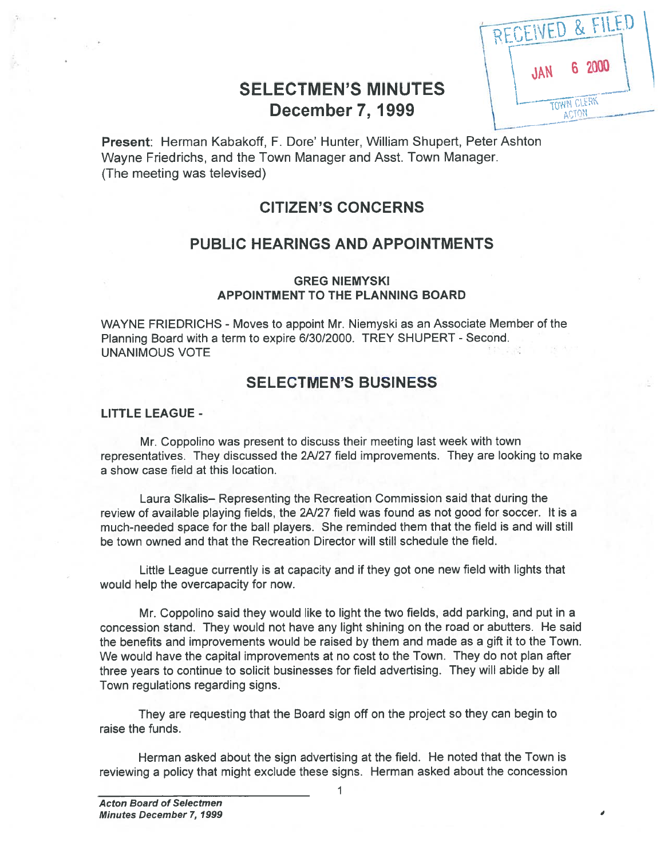|                            | JAN |
|----------------------------|-----|
| <b>SELECTMEN'S MINUTES</b> |     |
| <b>December 7, 1999</b>    |     |

| RECEIVED & FILED |                     |        |  |
|------------------|---------------------|--------|--|
| JAN              |                     | 6 2000 |  |
|                  | TOWN CLERK<br>ACTON |        |  |

Present: Herman Kabakoff, F. Dore' Hunter, William Shupert, Peter Ashton Wayne Friedrichs, and the Town Manager and Asst. Town Manager. (The meeting was televised)

# CITIZEN'S CONCERNS

# PUBLIC HEARINGS AND APPOINTMENTS

## GREG NIEMYSKI APPOINTMENT TO THE PLANNING BOARD

WAYNE FRIEDRICHS - Moves to appoint Mr. Niemyski as an Associate Member of the Planning Board with <sup>a</sup> term to expire 6/30/2000. TREY SHUPERT - Second. UNANIMOUS VOTE

# SELECTMEN'S BUSINESS

## LITTLE LEAGUE -

Mr. Coppolino was presen<sup>t</sup> to discuss their meeting last week with town representatives. They discussed the 2A/27 field improvements. They are looking to make <sup>a</sup> show case field at this location.

Laura Slkalis— Representing the Recreation Commission said that during the review of available playing fields, the 2A/27 field was found as not good for soccer. It is a much-needed space for the ball players. She reminded them that the field is and will still be town owned and that the Recreation Director will still schedule the field.

Little League currently is at capacity and if they go<sup>t</sup> one new field with lights that would help the overcapacity for now.

Mr. Coppolino said they would like to light the two fields, add parking, and pu<sup>t</sup> in <sup>a</sup> concession stand. They would not have any light shining on the road or abutters. He said the benefits and improvements would be raised by them and made as <sup>a</sup> gift it to the Town. We would have the capital improvements at no cost to the Town. They do not plan after three years to continue to solicit businesses for field advertising. They will abide by all Town regulations regarding signs.

They are requesting that the Board sign off on the project so they can begin to raise the funds.

Herman asked about the sign advertising at the field. He noted that the Town is reviewing <sup>a</sup> policy that might exclude these signs. Herman asked about the concession

1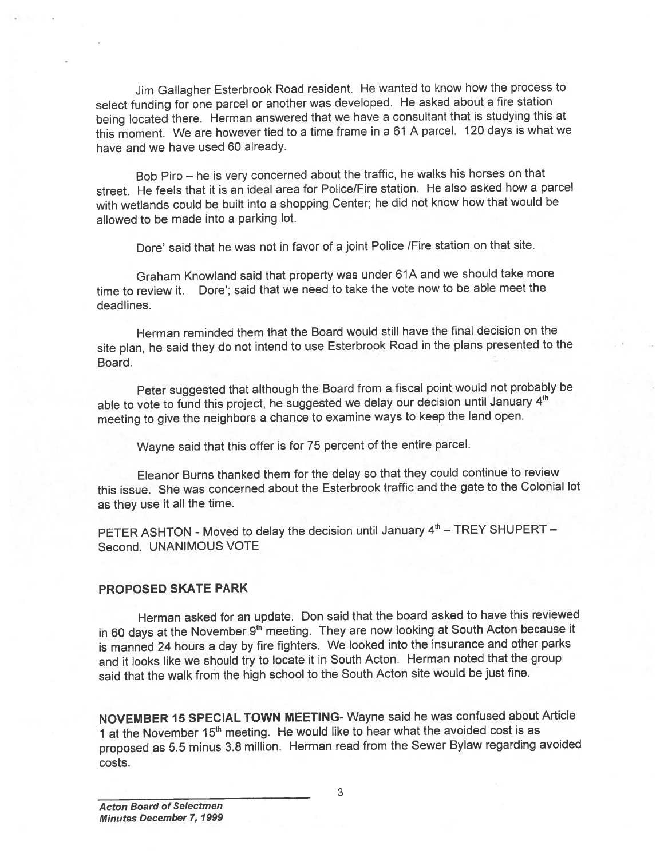Jim Gallagher Esterbrook Road resident. He wanted to know how the process to select funding for one parce<sup>l</sup> or another was developed. He asked about <sup>a</sup> fire station being located there. Herman answered that we have <sup>a</sup> consultant that is studying this at this moment. We are however tied to <sup>a</sup> time frame in <sup>a</sup> <sup>61</sup> <sup>A</sup> parcel. <sup>120</sup> days is what we have and we have used 60 already.

Bob Piro — he is very concerned about the traffic, he walks his horses on that street. He feels that it is an ideal area for Police/Fire station. He also asked how <sup>a</sup> parce<sup>l</sup> with wetlands could be built into <sup>a</sup> shopping Center; he did not know how that would be allowed to be made into <sup>a</sup> parking lot.

Dore' said that he was not in favor of a joint Police /Fire station on that site.

Graham Knowland said that property was under 61A and we should take mote time to review it. Dore'; said that we need to take the vote now to be able meet the deadlines.

Herman reminded them that the Board would still have the final decision on the site <sup>p</sup>lan, he said they do not intend to use Esterbrook Road in the <sup>p</sup>lans presented to the Board.

Peter suggested that although the Board from <sup>a</sup> fiscal point would not probably be able to vote to fund this project, he suggested we delay our decision until January 4<sup>th</sup> meeting to <sup>g</sup>ive the neighbors <sup>a</sup> chance to examine ways to keep the land open.

Wayne said that this offer is for <sup>75</sup> percen<sup>t</sup> of the entire parcel.

Eleanor Burns thanked them for the delay so that they could continue to review this issue. She was concerned about the Esterbrook traffic and the gate to the Colonial lot as they use it all the time.

PETER ASHTON - Moved to delay the decision until January 4<sup>th</sup> - TREY SHUPERT -Second. UNANIMOUS VOTE

### PROPOSED SKATE PARK

Herman asked for an update. Don said that the board asked to have this reviewed in 60 days at the November 9<sup>th</sup> meeting. They are now looking at South Acton because it is manned <sup>24</sup> hours <sup>a</sup> day by fire fighters. We looked into the insurance and other parks and it looks like we should try to locate it in South Acton. Herman noted that the group said that the walk from the high school to the South Acton site would be just fine.

NOVEMBER <sup>15</sup> SPECIAL TOWN MEETING- Wayne said he was confused about Article 1 at the November 15<sup>th</sup> meeting. He would like to hear what the avoided cost is as propose<sup>d</sup> as 5.5 minus 3.8 million. Herman read from the Sewer Bylaw regarding avoided costs.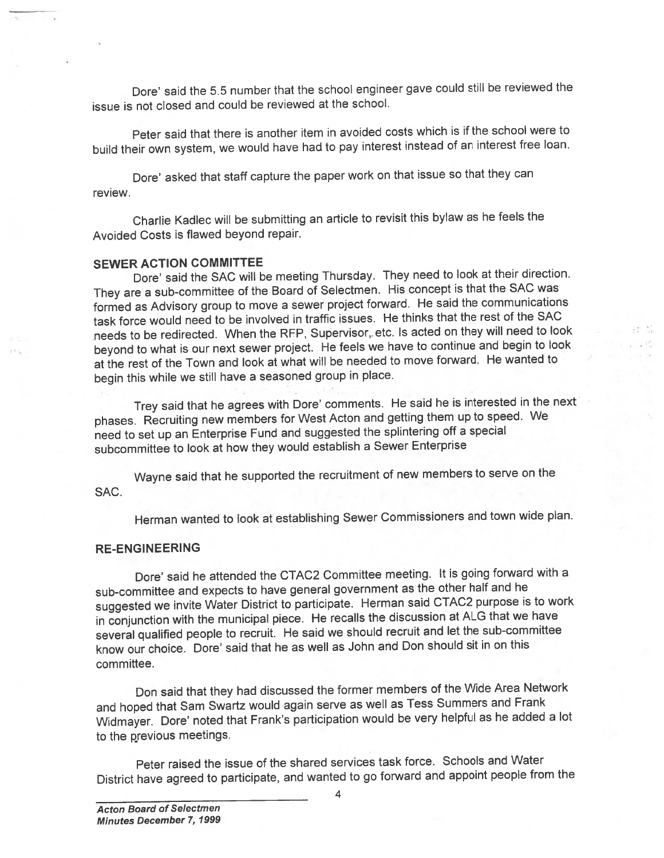Dore' said the 5.5 number that the school engineer gave could still be reviewed the issue is not closed and could be reviewed at the school.

Peter said that there is another item in avoided costs which is if the school were to build their own system, we would have had to pay interest instead of an interest free loan.

review. Dore' asked that staff capture the paper work on that issue so that they can

Charlie Kadlec will be submitting an article to revisit this bylaw as he feels the Avoided Costs is flawed beyond repair.

## SEWER ACTION COMMITTEE

Dore' said the SAC will be meeting Thursday. They need to look at their direction. They are <sup>a</sup> sub-committee of the Board of Selectmen. His concep<sup>t</sup> is that the SAC was formed as Advisory group to move <sup>a</sup> sewer project forward. He said the communications task force would need to be involved in traffic issues. He thinks that the rest of the SAC needs to be redirected. When the RFP, Supervisor,. etc. Is acted on they will need to look beyond to what is our next sewer project. He feels we have to continue and begin to look at the test of the Town and look at what will be needed to move forward. He wanted to begin this while we still have <sup>a</sup> seasoned group in <sup>p</sup>lace.

Trey said that he agrees with Dore' comments. He said he is interested in the next <sup>p</sup>hases. Recruiting new members for West Acton and getting them up to speed. We need to set up an Enterprise Fund and suggested the splintering off <sup>a</sup> special subcommittee to look at how they would establish <sup>a</sup> Sewer Enterprise

SAC. Wayne said that he supported the recruitment of new members to serve on the

Herman wanted to look at establishing Sewer Commissioners and town wide <sup>p</sup>lan.

### RE-ENGINEERING

Dore' said he attended the CTAC2 Committee meeting. It is going forward with <sup>a</sup> sub-committee and expects to have genera<sup>l</sup> governmen<sup>t</sup> as the other half and he suggested we invite Water District to participate. Herman said CTAC2 purpose is to work in conjunction with the municipal <sup>p</sup>iece. He recalls the discussion at ALG that we have several qualified people to recruit. He said we should recruit and let the sub-committee know our choice. Dore' said that he as well as John and Don should sit in on this committee.

Don said that they had discussed the former members of the Wide Area Network and hoped that Sam Swartz would-again serve as well as Tess Summers and Frank Widmayer. Dore' noted that Frank's participation would be very helpful as he added a lot to the previous meetings.

Peter raised the issue of the shared services task force. Schools and Water District have agree<sup>d</sup> to participate, and wanted to go forward and appoint people from the

4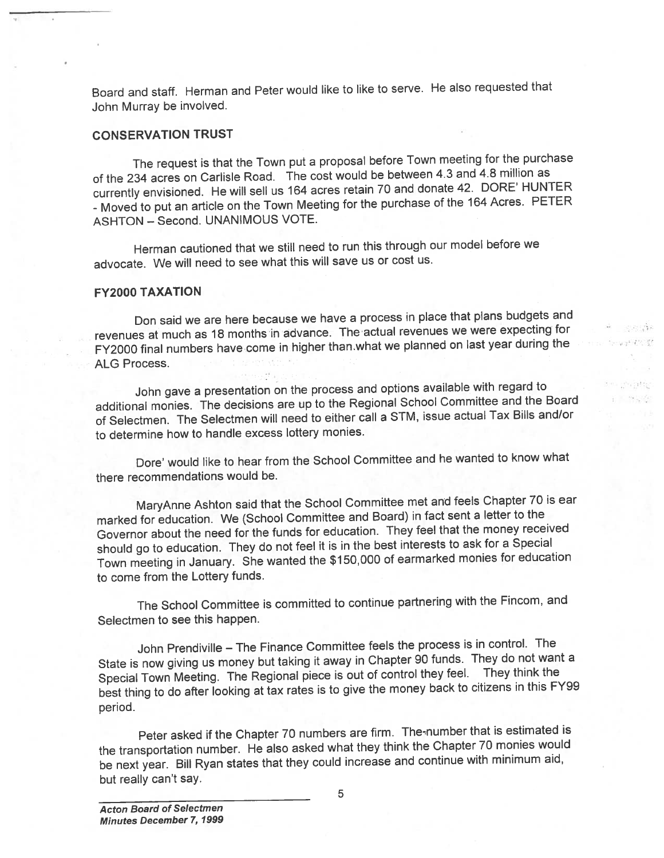Board and staff. Herman and Peter would like to like to serve. He also requested that John Murray be involved.

### CONSERVATION TRUST

1

The reques<sup>t</sup> is that the Town pu<sup>t</sup> <sup>a</sup> proposa<sup>l</sup> before Town meeting for the purchase of the <sup>234</sup> acres on Carlisle Road. The cost would be between 4.3 and 4.8 million as currently envisioned. He will sell us <sup>164</sup> acres retain <sup>70</sup> and donate 42. DORE' HUNTER -Moved to pu<sup>t</sup> an article on the Town Meeting for the purchase of the <sup>164</sup> Acres. PETER ASHTON — Second. UNANIMOUS VOTE.

Herman cautioned that we still need to run this through our model before we advocate. We will need to see what this will save us or cost us.

### FY2000 TAXATION

Don said we are here because we have <sup>a</sup> process in <sup>p</sup>lace that <sup>p</sup>lans budgets and revenues at much as 18 months in advance. The actual revenues we were expecting for FY2000 final numbers have come in higher than.what we <sup>p</sup>lanned on last year during the ALG Process.

John gave <sup>a</sup> presentation on the process and options available with regar<sup>d</sup> to additional monies. The decisions are up to the Regional School Committee and the Board of Selectmen. The Selectmen will need to either call <sup>a</sup> STM, issue actual Tax Bills and/or to determine how to handle excess lottery monies.

Dote' would like to hear from the School Committee and he wanted to know what there recommendations would be.

MaryAnne Ashton said that the School Committee met and feels Chapter <sup>70</sup> is ear marked for education. We (School Committee and Board) in fact sent <sup>a</sup> letter to the Governor about the need for the funds for education. They feel that the money received should go to education. They do not feel it is in the best interests to ask for <sup>a</sup> Special Town meeting in January. She wanted the \$150,000 of earmarked monies for education to come from the Lottery funds.

The School Committee is committed to continue partnering with the Fincom, and Selectmen to see this happen.

John Prendiville – The Finance Committee feels the process is in control. The State is now <sup>g</sup>iving us money but taking it away in Chapter <sup>90</sup> funds. They do not want <sup>a</sup> Special Town Meeting. The Regional <sup>p</sup>iece is out of control they feel. They think the best thing to do after looking at tax rates is to <sup>g</sup>ive the money back to citizens in this FY99 period.

Peter asked if the Chapter 70 numbers are firm. The number that is estimated is the transportation number. He also asked what they think the Chapter <sup>70</sup> monies would be next year. Bill Ryan states that they could increase and continue with minimum aid, but really can't say.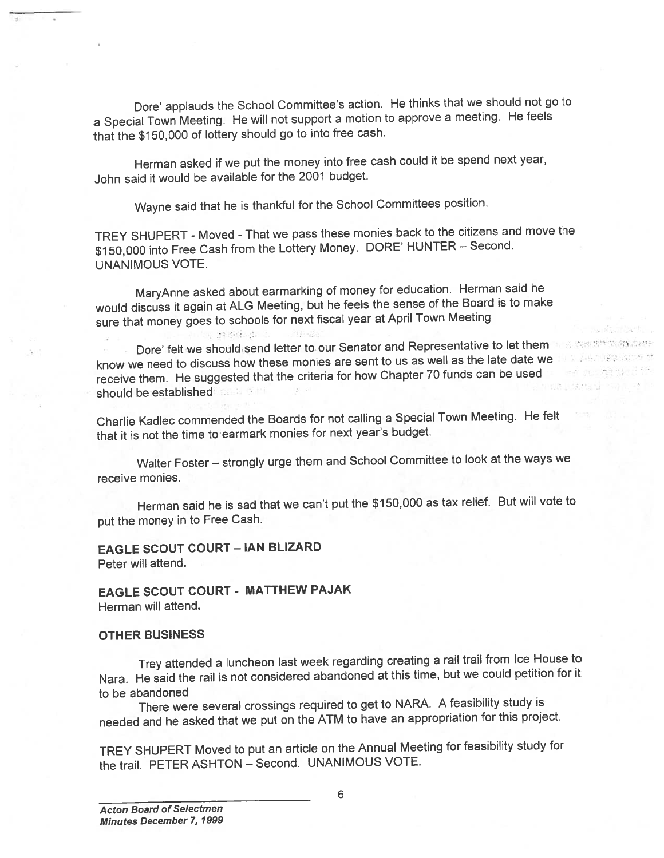Dore' applauds the School Committee's action. He thinks that we should not go to <sup>a</sup> Special Town Meeting. He will not suppor<sup>t</sup> <sup>a</sup> motion to approve <sup>a</sup> meeting. He feels that the \$150,000 of lottery should go to into free cash.

Herman asked if we pu<sup>t</sup> the money into free cash could it be spen<sup>d</sup> next year, John said it would be available for the 2001 budget.

Wayne said that he is thankful for the School Committees position.

TREY SHUPERT -Moved -That we pass these monies back to the citizens and move the \$150,000 into Free Cash from the Lottery Money. DORE' HUNTER — Second. UNANIMOUS VOTE.

MaryAnne asked about earmarking of money for education. Herman said he would discuss it again at ALG Meeting, but he feels the sense of the Board is to make sure that money goes to schools for next fiscal year at April Town Meeting

Dore' felt we should send letter to our Senator and Representative to let them know we need to discuss how these monies are sent to us as well as the late date we receive them. He suggested that the criteria for how Chapter <sup>70</sup> funds can be used should be established

Charlie Kadlec commended the Boards for not calling <sup>a</sup> Special Town Meeting. He felt that it is not the time to earmark monies for next year's budget.

Walter Foster — strongly urge them and School Committee to look at the ways we receive monies.

Herman said he is sad that we can't pu<sup>t</sup> the \$150,000 as tax relief. But will vote to pu<sup>t</sup> the money in to Free Cash.

# EAGLE SCOUT COURT - IAN BLIZARD

Peter will attend.

EAGLE SCOUT COURT - MATTHEW PAJAK Herman will attend.

可 的复数动物

### OTHER BUSINESS

Trey attended <sup>a</sup> luncheon last week regarding creating <sup>a</sup> rail trail from Ice House to Nara. He said the tail is not considered abandoned at this time, but we could petition for it to be abandoned

There were several crossings required to ge<sup>t</sup> to NARA. <sup>A</sup> feasibility study is needed and he asked that we pu<sup>t</sup> on the ATM to have an appropriation for this project.

TREY SHUPERT Moved to pu<sup>t</sup> an article on the Annual Meeting for feasibility study for the trail. PETER ASHTON — Second. UNANIMOUS VOTE.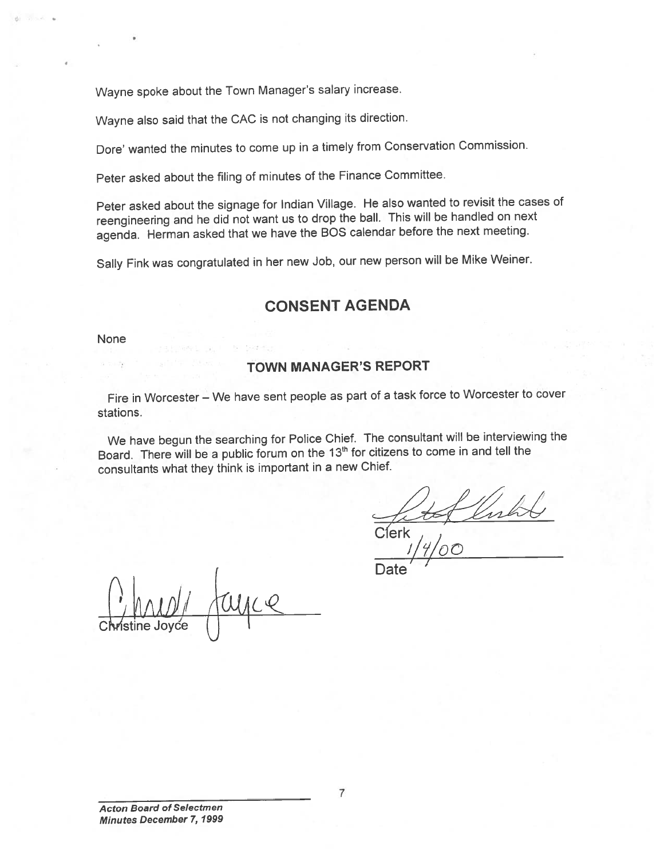Wayne spoke about the Town Manager's salary increase.

Wayne also said that the CAC is not changing its direction.

Dore' wanted the minutes to come up in <sup>a</sup> timely from Conservation Commission.

Peter asked about the filing of minutes of the Finance Committee.

Peter asked about the signage for Indian Village. He also wanted to revisit the cases of reengineering and he did not want us to drop the ball. This will be handled on next agenda. Herman asked that we have the BOS calendar before the next meeting.

Sally Fink was congratulated in her new Job, our new person will be Mike Weiner.

# CONSENT AGENDA

None

## TOWN MANAGER'S REPORT

Fire in Worcester — We have sent people as par<sup>t</sup> of <sup>a</sup> task force to Worcester to cover stations.

We have begun the searching for Police Chief. The consultant will be interviewing the Board. There will be a public forum on the 13<sup>th</sup> for citizens to come in and tell the consultants what they think is important in <sup>a</sup> new Chief.

C(erk

 $\mathcal O$ 

Date i

AADI runce Christine Joyce  $\bigcup$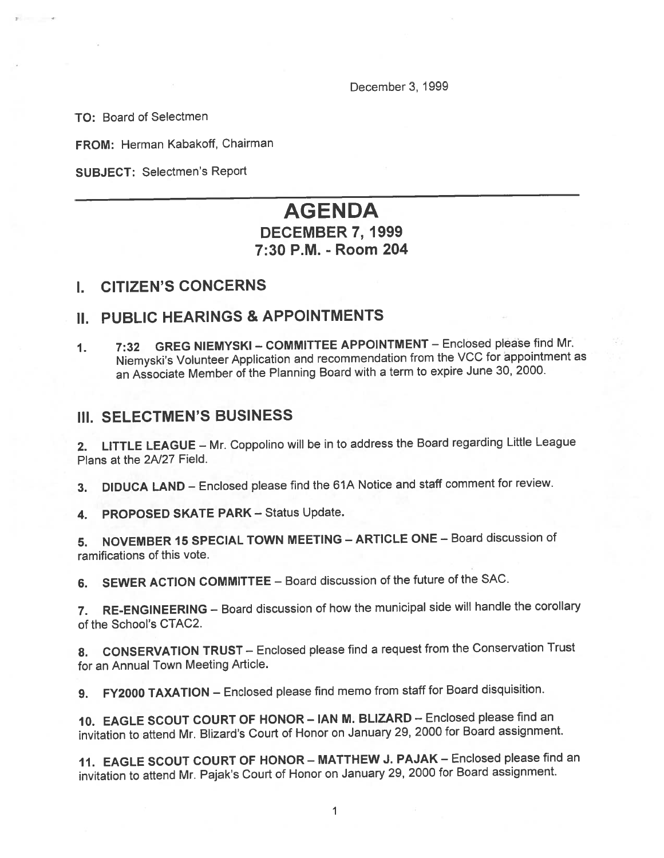December 3, 1999

TO: Board of Selectmen

FROM: Herman Kabakoff, Chairman

SUBJECT: Selectmen's Report

# AGENDA

# DECEMBER 7, 1999 7:30 P.M. -Room 204

# I. CITIZEN'S CONCERNS

# II. PUBLIC HEARINGS & APPOINTMENTS

1. 7:32 GREG NIEMYSKI — COMMITTEE APPOINTMENT — Enclosed <sup>p</sup>lease find Mr. Niemyski's Volunteer Application and recommendation from the VCC for appointment as an Associate Member of the Planning Board with <sup>a</sup> term to expire June 30, 2000.

## III. SELECTMEN'S BUSINESS

2. LITTLE LEAGUE — Mr. Coppolino will be in to address the Board regarding Little League Plans at the 2N27 Field.

3. DIDUCA LAND — Enclosed <sup>p</sup>lease find the 61A Notice and staff comment for review.

4. PROPOSED SKATE PARK — Status Update.

5. NOVEMBER <sup>15</sup> SPECIAL TOWN MEETING — ARTICLE ONE — Board discussion of ramifications of this vote.

6. SEWER ACTION COMMiTTEE — Board discussion of the future of the SAC.

7. RE-ENGINEERING — Board discussion of how the municipal side will handle the corollary of the School's CTAC2.

8. CONSERVATION TRUST - Enclosed please find a request from the Conservation Trust for an Annual Town Meeting Article.

9. FY2000 TAXATION — Enclosed <sup>p</sup>lease find memo from staff for Board disquisition.

10. EAGLE SCOUT COURT OF HONOR — IAN M. BLIZARD — Enclosed <sup>p</sup>lease find an invitation to attend Mr. Blizard's Court of Honor on January 29, <sup>2000</sup> for Board assignment.

11. EAGLE SCOUT COURT OF HONOR — MATTHEW J. PAJAK — Enclosed <sup>p</sup>lease find an invitation to attend Mr. Pajak's Court of Honor on January 29, <sup>2000</sup> for Board assignment.